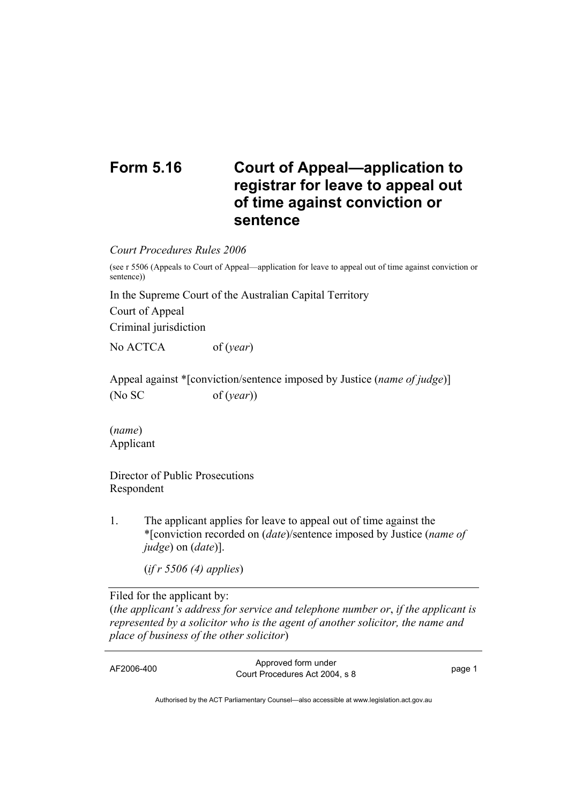## **Form 5.16 Court of Appeal—application to registrar for leave to appeal out of time against conviction or sentence**

*Court Procedures Rules 2006* 

(see r 5506 (Appeals to Court of Appeal—application for leave to appeal out of time against conviction or sentence))

In the Supreme Court of the Australian Capital Territory

Court of Appeal

Criminal jurisdiction

No ACTCA of (*year*)

Appeal against \*[conviction/sentence imposed by Justice (*name of judge*)] (No SC of (*year*))

(*name*) Applicant

Director of Public Prosecutions Respondent

1. The applicant applies for leave to appeal out of time against the \*[conviction recorded on (*date*)/sentence imposed by Justice (*name of judge*) on (*date*)].

(*if r 5506 (4) applies*)

Filed for the applicant by: (*the applicant's address for service and telephone number or*, *if the applicant is represented by a solicitor who is the agent of another solicitor, the name and place of business of the other solicitor*)

AF2006-400 Approved form under Procedures Act 2004, s 8 page 1

Authorised by the ACT Parliamentary Counsel—also accessible at www.legislation.act.gov.au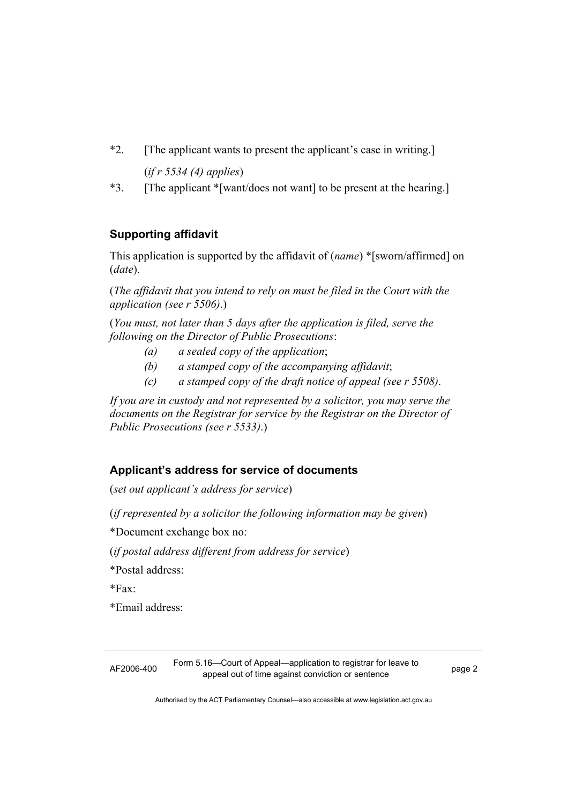- \*2. [The applicant wants to present the applicant's case in writing.] (*if r 5534 (4) applies*)
- \*3. [The applicant \*[want/does not want] to be present at the hearing.]

## **Supporting affidavit**

This application is supported by the affidavit of (*name*) \*[sworn/affirmed] on (*date*).

(*The affidavit that you intend to rely on must be filed in the Court with the application (see r 5506)*.)

(*You must, not later than 5 days after the application is filed, serve the following on the Director of Public Prosecutions*:

- *(a) a sealed copy of the application*;
- *(b) a stamped copy of the accompanying affidavit*;
- *(c) a stamped copy of the draft notice of appeal (see r 5508)*.

*If you are in custody and not represented by a solicitor, you may serve the documents on the Registrar for service by the Registrar on the Director of Public Prosecutions (see r 5533)*.)

## **Applicant's address for service of documents**

(*set out applicant's address for service*)

(*if represented by a solicitor the following information may be given*)

\*Document exchange box no:

(*if postal address different from address for service*)

\*Postal address:

\*Fax:

\*Email address:

AF2006-400 Form 5.16—Court of Appeal—application to registrar for leave to appeal out of time against conviction or sentence<br>appeal out of time against conviction or sentence

Authorised by the ACT Parliamentary Counsel—also accessible at www.legislation.act.gov.au